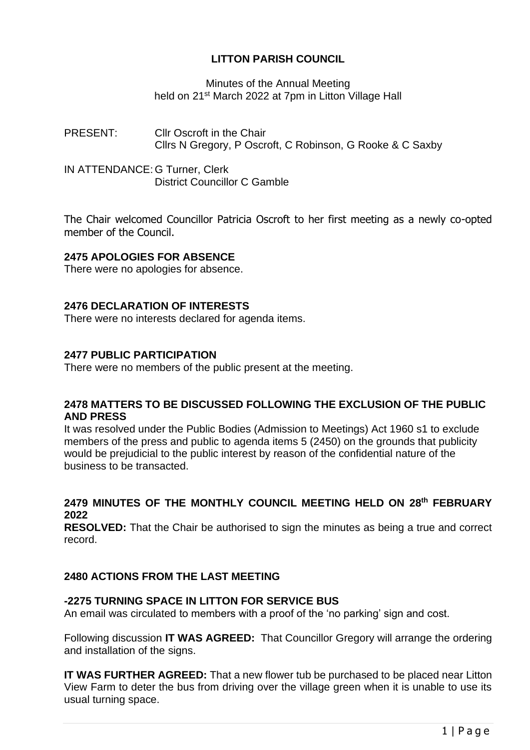# **LITTON PARISH COUNCIL**

### Minutes of the Annual Meeting held on 21<sup>st</sup> March 2022 at 7pm in Litton Village Hall

PRESENT: Cllr Oscroft in the Chair Cllrs N Gregory, P Oscroft, C Robinson, G Rooke & C Saxby

IN ATTENDANCE: G Turner, Clerk District Councillor C Gamble

The Chair welcomed Councillor Patricia Oscroft to her first meeting as a newly co-opted member of the Council.

## **2475 APOLOGIES FOR ABSENCE**

There were no apologies for absence.

## **2476 DECLARATION OF INTERESTS**

There were no interests declared for agenda items.

## **2477 PUBLIC PARTICIPATION**

There were no members of the public present at the meeting.

#### **2478 MATTERS TO BE DISCUSSED FOLLOWING THE EXCLUSION OF THE PUBLIC AND PRESS**

It was resolved under the Public Bodies (Admission to Meetings) Act 1960 s1 to exclude members of the press and public to agenda items 5 (2450) on the grounds that publicity would be prejudicial to the public interest by reason of the confidential nature of the business to be transacted.

## **2479 MINUTES OF THE MONTHLY COUNCIL MEETING HELD ON 28th FEBRUARY 2022**

**RESOLVED:** That the Chair be authorised to sign the minutes as being a true and correct record.

#### **2480 ACTIONS FROM THE LAST MEETING**

## **-2275 TURNING SPACE IN LITTON FOR SERVICE BUS**

An email was circulated to members with a proof of the 'no parking' sign and cost.

Following discussion **IT WAS AGREED:** That Councillor Gregory will arrange the ordering and installation of the signs.

**IT WAS FURTHER AGREED:** That a new flower tub be purchased to be placed near Litton View Farm to deter the bus from driving over the village green when it is unable to use its usual turning space.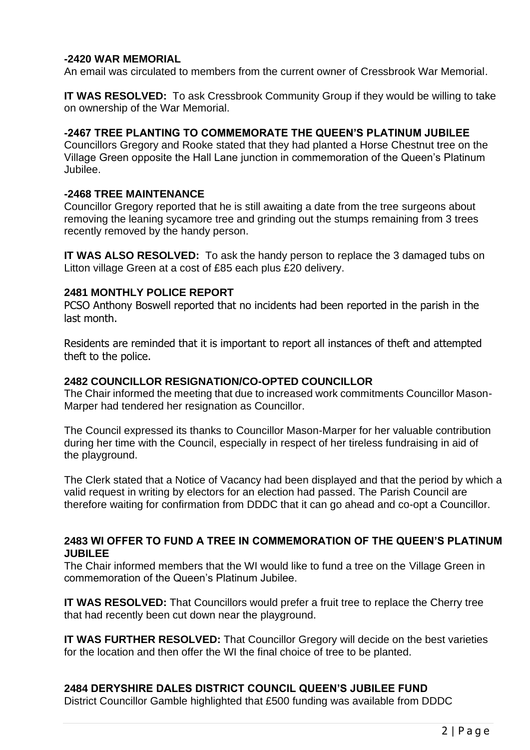## **-2420 WAR MEMORIAL**

An email was circulated to members from the current owner of Cressbrook War Memorial.

**IT WAS RESOLVED:** To ask Cressbrook Community Group if they would be willing to take on ownership of the War Memorial.

#### **-2467 TREE PLANTING TO COMMEMORATE THE QUEEN'S PLATINUM JUBILEE**

Councillors Gregory and Rooke stated that they had planted a Horse Chestnut tree on the Village Green opposite the Hall Lane junction in commemoration of the Queen's Platinum Jubilee.

#### **-2468 TREE MAINTENANCE**

Councillor Gregory reported that he is still awaiting a date from the tree surgeons about removing the leaning sycamore tree and grinding out the stumps remaining from 3 trees recently removed by the handy person.

**IT WAS ALSO RESOLVED:** To ask the handy person to replace the 3 damaged tubs on Litton village Green at a cost of £85 each plus £20 delivery.

#### **2481 MONTHLY POLICE REPORT**

PCSO Anthony Boswell reported that no incidents had been reported in the parish in the last month.

Residents are reminded that it is important to report all instances of theft and attempted theft to the police.

#### **2482 COUNCILLOR RESIGNATION/CO-OPTED COUNCILLOR**

The Chair informed the meeting that due to increased work commitments Councillor Mason-Marper had tendered her resignation as Councillor.

The Council expressed its thanks to Councillor Mason-Marper for her valuable contribution during her time with the Council, especially in respect of her tireless fundraising in aid of the playground.

The Clerk stated that a Notice of Vacancy had been displayed and that the period by which a valid request in writing by electors for an election had passed. The Parish Council are therefore waiting for confirmation from DDDC that it can go ahead and co-opt a Councillor.

#### **2483 WI OFFER TO FUND A TREE IN COMMEMORATION OF THE QUEEN'S PLATINUM JUBILEE**

The Chair informed members that the WI would like to fund a tree on the Village Green in commemoration of the Queen's Platinum Jubilee.

**IT WAS RESOLVED:** That Councillors would prefer a fruit tree to replace the Cherry tree that had recently been cut down near the playground.

**IT WAS FURTHER RESOLVED:** That Councillor Gregory will decide on the best varieties for the location and then offer the WI the final choice of tree to be planted.

## **2484 DERYSHIRE DALES DISTRICT COUNCIL QUEEN'S JUBILEE FUND**

District Councillor Gamble highlighted that £500 funding was available from DDDC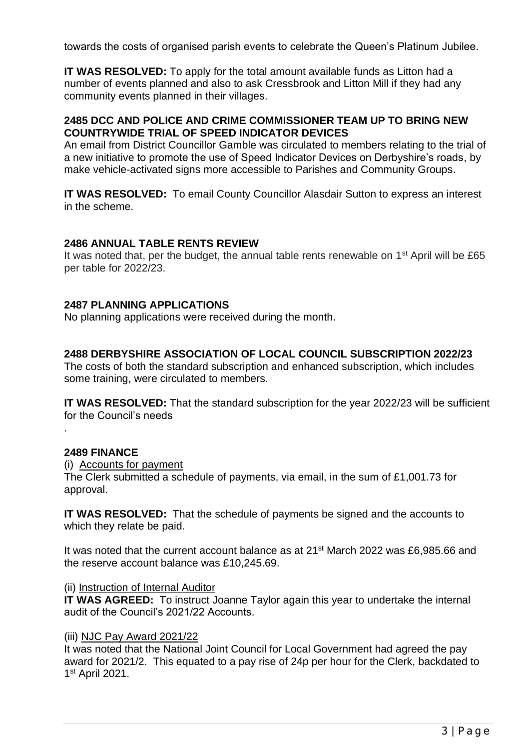towards the costs of organised parish events to celebrate the Queen's Platinum Jubilee.

**IT WAS RESOLVED:** To apply for the total amount available funds as Litton had a number of events planned and also to ask Cressbrook and Litton Mill if they had any community events planned in their villages.

### **2485 DCC AND POLICE AND CRIME COMMISSIONER TEAM UP TO BRING NEW COUNTRYWIDE TRIAL OF SPEED INDICATOR DEVICES**

An email from District Councillor Gamble was circulated to members relating to the trial of a new initiative to promote the use of Speed Indicator Devices on Derbyshire's roads, by make vehicle-activated signs more accessible to Parishes and Community Groups.

**IT WAS RESOLVED:** To email County Councillor Alasdair Sutton to express an interest in the scheme.

## **2486 ANNUAL TABLE RENTS REVIEW**

It was noted that, per the budget, the annual table rents renewable on  $1<sup>st</sup>$  April will be £65 per table for 2022/23.

## **2487 PLANNING APPLICATIONS**

No planning applications were received during the month.

## **2488 DERBYSHIRE ASSOCIATION OF LOCAL COUNCIL SUBSCRIPTION 2022/23**

The costs of both the standard subscription and enhanced subscription, which includes some training, were circulated to members.

**IT WAS RESOLVED:** That the standard subscription for the year 2022/23 will be sufficient for the Council's needs

#### **2489 FINANCE**

.

(i) Accounts for payment

The Clerk submitted a schedule of payments, via email, in the sum of £1,001.73 for approval.

**IT WAS RESOLVED:** That the schedule of payments be signed and the accounts to which they relate be paid.

It was noted that the current account balance as at 21<sup>st</sup> March 2022 was £6,985.66 and the reserve account balance was £10,245.69.

#### (ii) Instruction of Internal Auditor

**IT WAS AGREED:** To instruct Joanne Taylor again this year to undertake the internal audit of the Council's 2021/22 Accounts.

#### (iii) NJC Pay Award 2021/22

It was noted that the National Joint Council for Local Government had agreed the pay award for 2021/2. This equated to a pay rise of 24p per hour for the Clerk, backdated to 1 st April 2021.